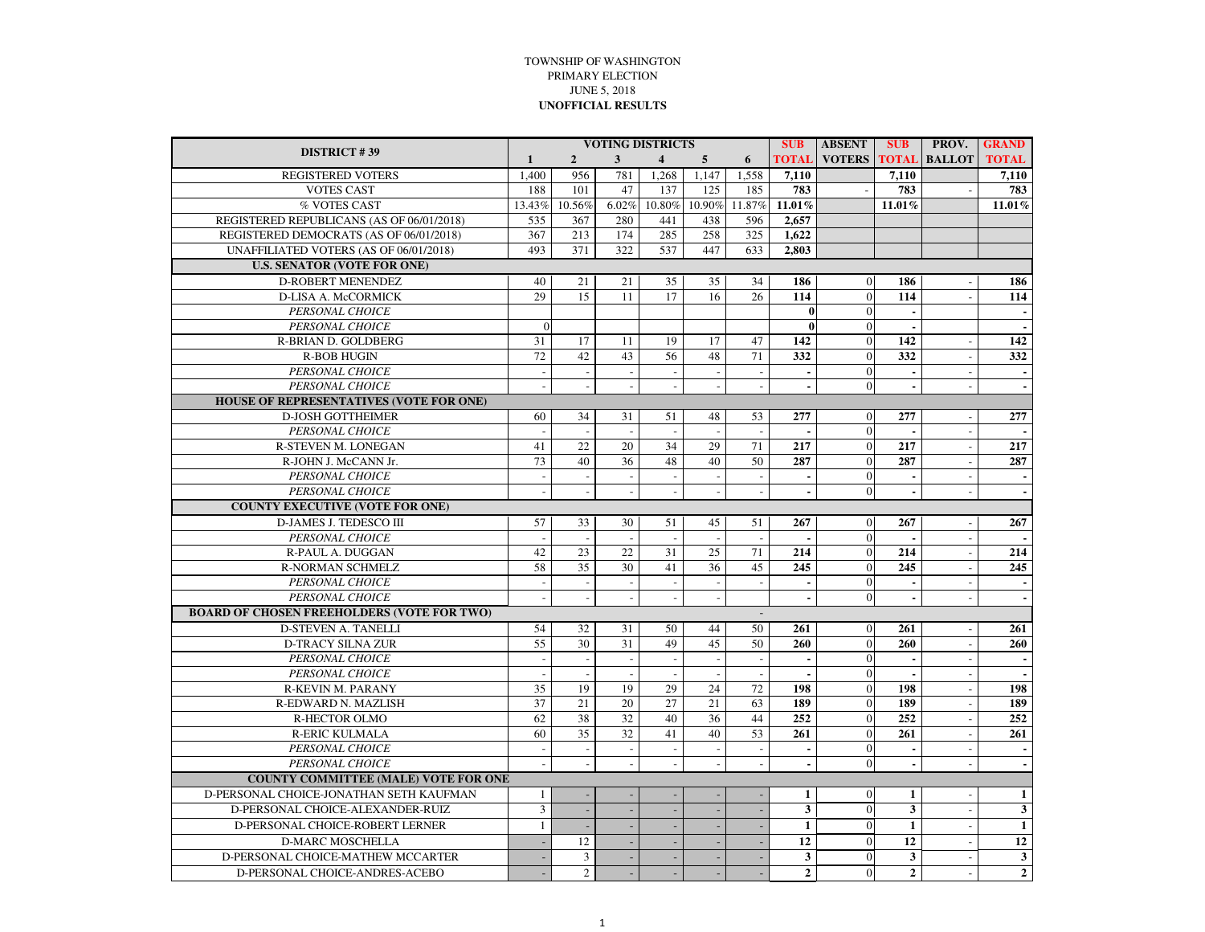## TOWNSHIP OF WASHINGTONPRIMARY ELECTIONJUNE 5, 2018**UNOFFICIAL RESULTS**

| <b>DISTRICT #39</b>                               |                             |                |                          | <b>VOTING DISTRICTS</b>  |                 | <b>SUB</b>               | <b>ABSENT</b>           | <b>SUB</b>     | <b>PROV.</b>             | <b>GRAND</b>        |                  |
|---------------------------------------------------|-----------------------------|----------------|--------------------------|--------------------------|-----------------|--------------------------|-------------------------|----------------|--------------------------|---------------------|------------------|
|                                                   | $\mathbf{1}$                | $\overline{2}$ | 3                        | $\overline{4}$           | 5               | 6                        | <b>TOTAL</b>            | <b>VOTERS</b>  |                          | <b>TOTAL BALLOT</b> | <b>TOTAL</b>     |
| <b>REGISTERED VOTERS</b>                          | 1,400                       | 956            | 781                      | 1,268                    | 1,147           | 1,558                    | 7,110                   |                | 7,110                    |                     | 7,110            |
| <b>VOTES CAST</b>                                 | 188                         | 101            | 47                       | 137                      | 125             | 185                      | 783                     |                | 783                      |                     | 783              |
| % VOTES CAST                                      | 13.43%                      | 10.56%         | 6.02%                    | 10.80%                   | 10.90%          | 11.87%                   | 11.01%                  |                | 11.01%                   |                     | 11.01%           |
| REGISTERED REPUBLICANS (AS OF 06/01/2018)         | 535                         | 367            | 280                      | 441                      | 438             | 596                      | 2.657                   |                |                          |                     |                  |
| REGISTERED DEMOCRATS (AS OF 06/01/2018)           | 367                         | 213            | 174                      | 285                      | 258             | 325                      | 1.622                   |                |                          |                     |                  |
| UNAFFILIATED VOTERS (AS OF 06/01/2018)            | 493                         | 371            | 322                      | 537                      | 447             | 633                      | 2.803                   |                |                          |                     |                  |
| <b>U.S. SENATOR (VOTE FOR ONE)</b>                |                             |                |                          |                          |                 |                          |                         |                |                          |                     |                  |
| <b>D-ROBERT MENENDEZ</b>                          | 40                          | 21             | 21                       | 35                       | 35              | 34                       | 186                     | $\mathbf{0}$   | 186                      |                     | 186              |
| <b>D-LISA A. McCORMICK</b>                        | 29                          | 15             | 11                       | 17                       | 16              | 26                       | 114                     | $\mathbf{0}$   | 114                      |                     | 114              |
| PERSONAL CHOICE                                   |                             |                |                          |                          |                 |                          | $\bf{0}$                | $\mathbf{0}$   | $\sim$                   |                     |                  |
| PERSONAL CHOICE                                   | $\Omega$                    |                |                          |                          |                 |                          | $\bf{0}$                | $\mathbf{0}$   | $\epsilon$               |                     |                  |
| R-BRIAN D. GOLDBERG                               | 31                          | 17             | 11                       | 19                       | 17              | 47                       | 142                     | $\Omega$       | 142                      |                     | 142              |
| <b>R-BOB HUGIN</b>                                | 72                          | 42             | 43                       | 56                       | 48              | 71                       | 332                     | $\mathbf{0}$   | 332                      |                     | 332              |
| PERSONAL CHOICE                                   | $\mathcal{L}_{\mathcal{A}}$ | $\sim$         | $\sim$                   | $\overline{\phantom{a}}$ | $\sim$          | $\overline{\phantom{a}}$ | $\blacksquare$          | $\mathbf{0}$   | $\blacksquare$           | $\blacksquare$      | $\sim$           |
| PERSONAL CHOICE                                   | $\sim$                      | $\sim$         | ÷,                       |                          |                 | $\overline{\phantom{a}}$ | ÷.                      | $\theta$       | $\sim$                   |                     |                  |
| <b>HOUSE OF REPRESENTATIVES (VOTE FOR ONE)</b>    |                             |                |                          |                          |                 |                          |                         |                |                          |                     |                  |
| <b>D-JOSH GOTTHEIMER</b>                          | 60                          | 34             | 31                       | 51                       | 48              | 53                       | 277                     | $\overline{0}$ | 277                      | $\overline{a}$      | 277              |
| PERSONAL CHOICE                                   | $\mathbb{Z}$                | $\sim$         | $\overline{\phantom{a}}$ | $\sim$                   | $\sim$          | $\blacksquare$           |                         | $\Omega$       | $\blacksquare$           | $\blacksquare$      |                  |
| R-STEVEN M. LONEGAN                               | 41                          | 22             | 20                       | 34                       | 29              | 71                       | 217                     | $\mathbf{0}$   | 217                      |                     | 217              |
| R-JOHN J. McCANN Jr.                              | 73                          | 40             | 36                       | 48                       | 40              | 50                       | 287                     | $\overline{0}$ | 287                      |                     | 287              |
| PERSONAL CHOICE                                   | $\sim$                      |                |                          |                          |                 |                          |                         | $\mathbf{0}$   | $\blacksquare$           |                     |                  |
| PERSONAL CHOICE                                   | $\sim$                      |                |                          |                          | $\overline{a}$  | $\overline{a}$           | ä,                      | $\Omega$       | $\blacksquare$           |                     |                  |
| <b>COUNTY EXECUTIVE (VOTE FOR ONE)</b>            |                             |                |                          |                          |                 |                          |                         |                |                          |                     |                  |
| D-JAMES J. TEDESCO III                            | 57                          | 33             | 30                       | 51                       | 45              | 51                       | 267                     | $\theta$       | 267                      |                     | 267              |
| PERSONAL CHOICE                                   | $\overline{a}$              |                | $\overline{\phantom{a}}$ | $\overline{\phantom{a}}$ | $\sim$          | $\overline{\phantom{a}}$ |                         | $\mathbf{0}$   |                          |                     |                  |
| <b>R-PAUL A. DUGGAN</b>                           | 42                          | 23             | 22                       | $\overline{31}$          | $\overline{25}$ | 71                       | 214                     | $\overline{0}$ | 214                      |                     | $\overline{214}$ |
| <b>R-NORMAN SCHMELZ</b>                           | 58                          | 35             | 30                       | 41                       | 36              | 45                       | 245                     | $\mathbf{0}$   | 245                      |                     | 245              |
| PERSONAL CHOICE                                   | $\overline{\phantom{a}}$    |                |                          | $\overline{\phantom{a}}$ |                 | $\overline{a}$           | ä,                      | $\Omega$       | $\sim$                   |                     |                  |
| PERSONAL CHOICE                                   | $\sim$                      |                | $\overline{a}$           | $\overline{a}$           | $\sim$          |                          | ä,                      | $\Omega$       | $\blacksquare$           |                     |                  |
| <b>BOARD OF CHOSEN FREEHOLDERS (VOTE FOR TWO)</b> |                             |                |                          |                          |                 |                          |                         |                |                          |                     |                  |
| <b>D-STEVEN A. TANELLI</b>                        | 54                          | 32             | 31                       | 50                       | 44              | 50                       | 261                     | $\theta$       | 261                      |                     | 261              |
| <b>D-TRACY SILNA ZUR</b>                          | 55                          | 30             | $\overline{31}$          | 49                       | 45              | 50                       | 260                     | $\overline{0}$ | $\overline{260}$         |                     | 260              |
| PERSONAL CHOICE                                   | $\overline{\phantom{a}}$    |                | $\overline{\phantom{a}}$ | $\overline{\phantom{a}}$ | $\sim$          | $\sim$                   |                         | $\Omega$       | ÷                        |                     |                  |
| PERSONAL CHOICE                                   |                             |                |                          |                          |                 |                          |                         | $\Omega$       |                          |                     |                  |
| R-KEVIN M. PARANY                                 | $\overline{35}$             | 19             | 19                       | 29                       | 24              | 72                       | 198                     | $\Omega$       | 198                      |                     | 198              |
| R-EDWARD N. MAZLISH                               | $\overline{37}$             | 21             | 20                       | 27                       | $\overline{21}$ | 63                       | 189                     | $\overline{0}$ | 189                      |                     | 189              |
| <b>R-HECTOR OLMO</b>                              | 62                          | 38             | 32                       | 40                       | 36              | 44                       | 252                     | $\overline{0}$ | 252                      |                     | 252              |
| <b>R-ERIC KULMALA</b>                             | 60                          | 35             | 32                       | 41                       | 40              | 53                       | 261                     | $\overline{0}$ | 261                      |                     | 261              |
| PERSONAL CHOICE                                   | $\overline{\phantom{a}}$    | $\sim$         | $\overline{\phantom{a}}$ | $\overline{\phantom{a}}$ | $\sim$          | $\overline{\phantom{a}}$ | $\blacksquare$          | $\Omega$       | $\sim$                   |                     |                  |
| PERSONAL CHOICE                                   | $\sim$                      |                |                          |                          |                 |                          |                         | $\Omega$       | $\overline{\phantom{a}}$ |                     |                  |
| <b>COUNTY COMMITTEE (MALE) VOTE FOR ONE</b>       |                             |                |                          |                          |                 |                          |                         |                |                          |                     |                  |
| D-PERSONAL CHOICE-JONATHAN SETH KAUFMAN           | $\mathbf{1}$                |                |                          |                          |                 |                          | $\mathbf{1}$            | $\mathbf{0}$   | $\mathbf{1}$             |                     | $\mathbf{1}$     |
| D-PERSONAL CHOICE-ALEXANDER-RUIZ                  | $\overline{3}$              |                |                          |                          |                 |                          | $\overline{\mathbf{3}}$ | $\overline{0}$ | $\overline{\mathbf{3}}$  | $\blacksquare$      | $\mathbf{3}$     |
| D-PERSONAL CHOICE-ROBERT LERNER                   | $\mathbf{1}$                |                |                          |                          |                 |                          | $\mathbf{1}$            | $\mathbf{0}$   | $\mathbf{1}$             |                     | $\mathbf{1}$     |
| <b>D-MARC MOSCHELLA</b>                           | $\sim$                      | 12             |                          |                          |                 |                          | 12                      | $\Omega$       | $\overline{12}$          |                     | 12               |
| D-PERSONAL CHOICE-MATHEW MCCARTER                 |                             | 3              | ÷.                       | ÷,                       |                 |                          | 3                       | $\Omega$       | $\mathbf{3}$             |                     | $\mathbf{3}$     |
| D-PERSONAL CHOICE-ANDRES-ACEBO                    |                             | $\overline{2}$ |                          | L.                       |                 |                          | $\overline{2}$          | $\overline{0}$ | $\overline{2}$           |                     | $\overline{2}$   |
|                                                   |                             |                |                          |                          |                 |                          |                         |                |                          |                     |                  |